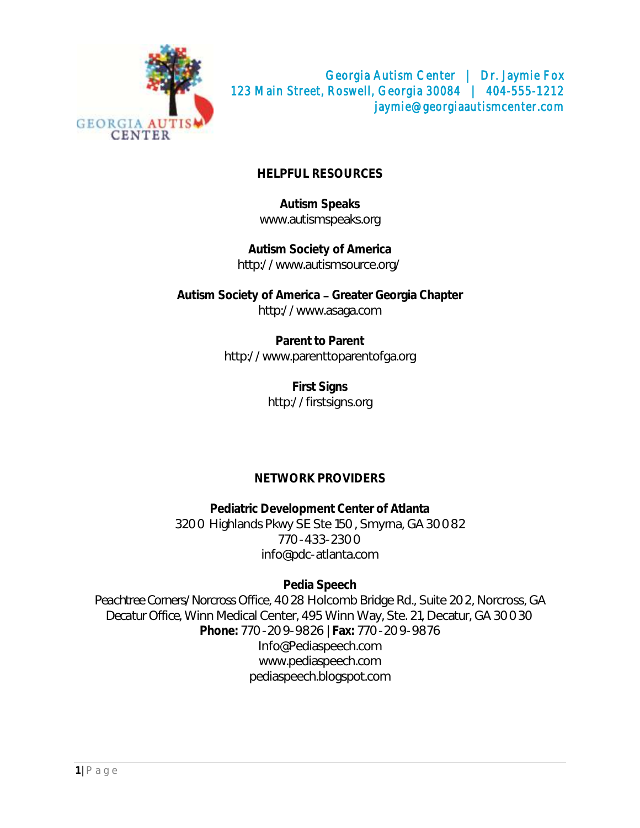

## **HELPFUL RESOURCES**

**Autism Speaks** [www.autismspeaks.org](http://www.autismspeaks.org/)

**Autism Society of America** <http://www.autismsource.org/>

Autism Society of America - Greater Georgia Chapter [http://www.asaga.com](http://www.asaga.com/)

> **Parent to Parent** [http://www.parenttoparentofga.org](http://www.parenttoparentofga.org/)

> > **First Signs** [http://firstsigns.org](http://firstsigns.org/)

## **NETWORK PROVIDERS**

**Pediatric Development Center of Atlanta** 3200 Highlands Pkwy SE Ste 150, Smyrna, GA 30082 770-433-2300 [info@pdc-atlanta.com](mailto:info@pdc-atlanta.com)

**Pedia Speech** *Peachtree Corners/Norcross Office,* 4028 Holcomb Bridge Rd., Suite 202, Norcross, GA *Decatur Office,* Winn Medical Center, 495 Winn Way, Ste. 21, Decatur, GA 30030 **Phone:** 770-209-9826 | **Fax:** 770-209-9876 Info@Pediaspeech.com [www.pediaspeech.com](http://www.pediaspeech.com/) [pediaspeech.blogspot.com](http://pediaspeech.blogspot.com/)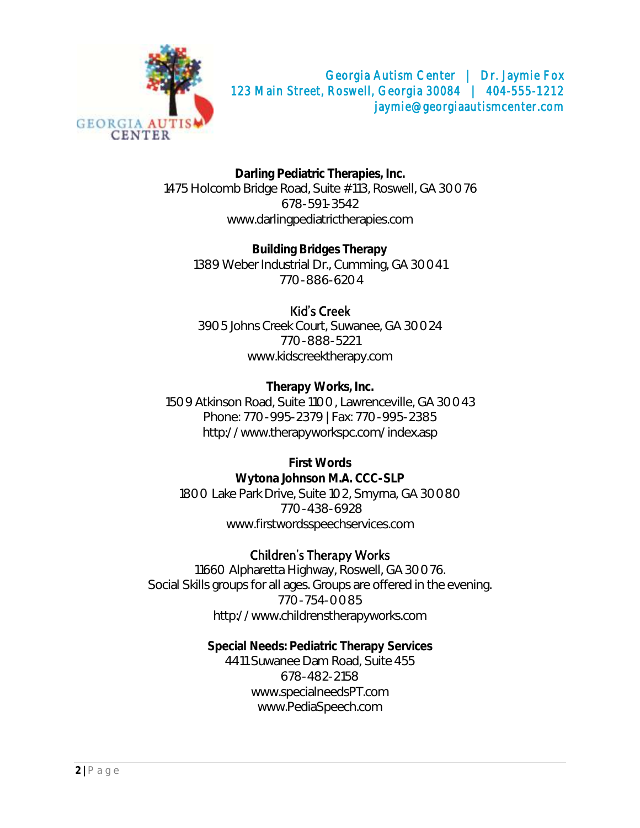

**Darling Pediatric Therapies, Inc.** 1475 Holcomb Bridge Road, Suite #113, Roswell, GA 30076 678-591-3542 www.darlingpediatrictherapies.com

**Building Bridges Therapy** 1389 Weber Industrial Dr., Cumming, GA 30041 770-886-6204

# Kid's Creek

3905 Johns Creek Court, Suwanee, GA 30024 770-888-5221 [www.kidscreektherapy.com](http://www.kidscreektherapy.com/)

**Therapy Works, Inc.** 1509 Atkinson Road, Suite 1100, Lawrenceville, GA 30043 Phone: 770-995-2379 | Fax: 770-995-2385 <http://www.therapyworkspc.com/index.asp>

**First Words Wytona Johnson M.A. CCC-SLP** 1800 Lake Park Drive, Suite 102, Smyrna, GA 30080 770-438-6928 [www.firstwordsspeechservices.com](http://www.firstwordsspeechservices.com/)

## **Children's Therapy Works**

11660 Alpharetta Highway, Roswell, GA 30076. Social Skills groups for all ages. Groups are offered in the evening. 770-754-0085 [http://www.childrenstherapyworks.com](http://www.childrenstherapyworks.com/)

> **Special Needs: Pediatric Therapy Services** 4411 Suwanee Dam Road, Suite 455 678-482-2158 [www.specialneedsPT.com](http://www.specialneedspt.com/) [www.PediaSpeech.com](http://www.pediaspeech.com/)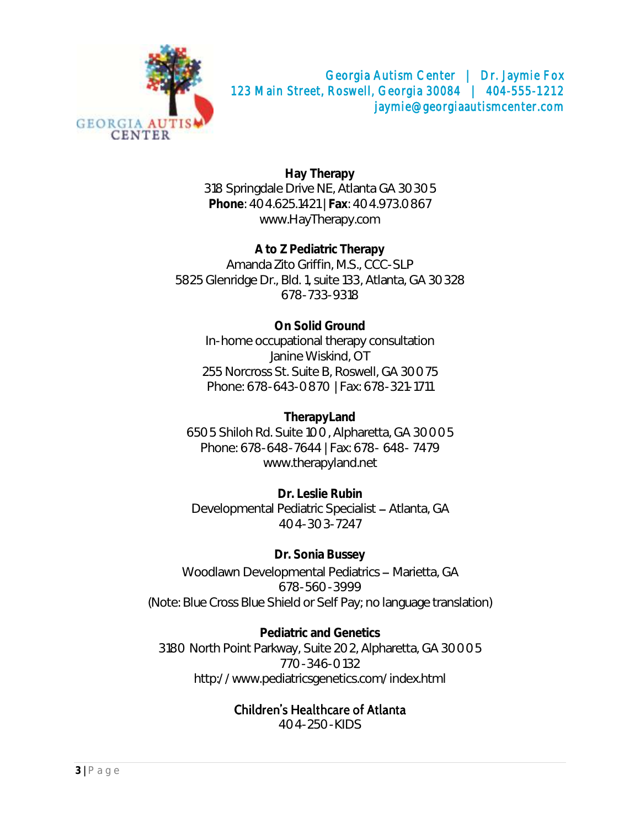

**Hay Therapy** 318 Springdale Drive NE, Atlanta GA 30305 **Phone**: 404.625.1421 | **Fax**: 404.973.0867 [www.HayTherapy.com](http://www.haytherapy.com/)

**A to Z Pediatric Therapy** Amanda Zito Griffin, M.S., CCC-SLP 5825 Glenridge Dr., Bld. 1, suite 133, Atlanta, GA 30328 678-733-9318

**On Solid Ground** In-home occupational therapy consultation [Janine Wiskind,](mailto:janinewiskind@osgot.com) OT 255 Norcross St. Suite B, Roswell, GA 30075 Phone: 678-643-0870 | Fax: 678-321-1711

**TherapyLand** 6505 Shiloh Rd. Suite 100, Alpharetta, GA 30005 Phone: 678-648-7644 | Fax: 678- 648- 7479 [www.therapyland.net](http://www.therapyland.net/)

**Dr. Leslie Rubin** Developmental Pediatric Specialist - Atlanta, GA 404-303-7247

**Dr. Sonia Bussey** Woodlawn Developmental Pediatrics - Marietta, GA 678-560-3999 (Note: Blue Cross Blue Shield or Self Pay; no language translation)

**Pediatric and Genetics** 3180 North Point Parkway, Suite 202, Alpharetta, GA 30005 770-346-0132 <http://www.pediatricsgenetics.com/index.html>

#### **Children's Healthcare of Atlanta**

404-250-KIDS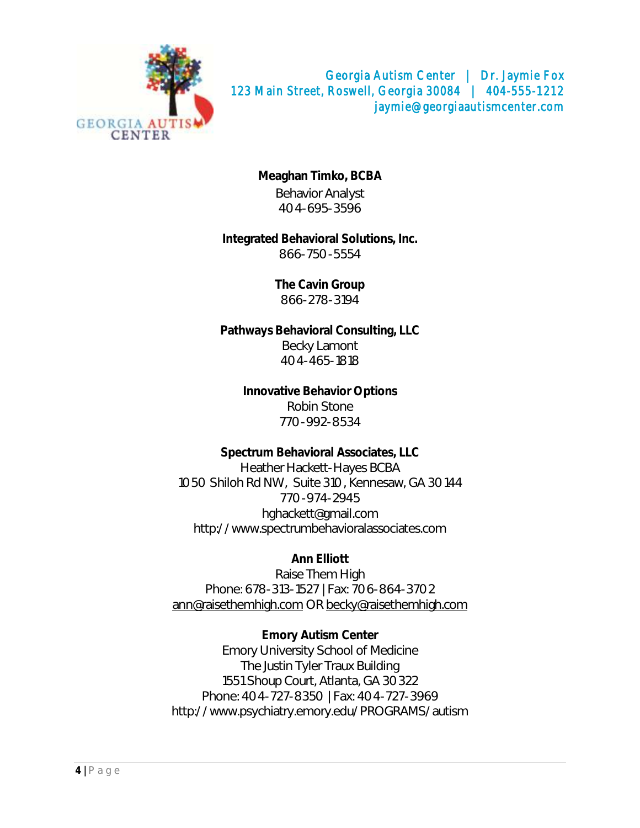

**Meaghan Timko, BCBA** Behavior Analyst 404-695-3596

**Integrated Behavioral Solutions, Inc.** 866-750-5554

> **The Cavin Group** 866-278-3194

**Pathways Behavioral Consulting, LLC** Becky Lamont 404-465-1818

> **Innovative Behavior Options** Robin Stone 770-992-8534

**Spectrum Behavioral Associates, LLC** Heather Hackett-Hayes BCBA 1050 Shiloh Rd NW, Suite 310, Kennesaw, GA 30144 770-974-2945 [hghackett@gmail.com](mailto:hghackett@gmail.com) [http://www.spectrumbehavioralassociates.com](http://www.spectrumbehavioralassociates.com/)

**Ann Elliott** Raise Them High Phone: 678-313-1527 | Fax: 706-864-3702 [ann@raisethemhigh.com](mailto:ann@raisethemhigh.com) OR [becky@raisethemhigh.com](mailto:becky@raisethemhigh.com)

**Emory Autism Center** Emory University School of Medicine The Justin Tyler Traux Building 1551 Shoup Court, Atlanta, GA 30322 Phone: 404-727-8350 | Fax: 404-727-3969 <http://www.psychiatry.emory.edu/PROGRAMS/autism>